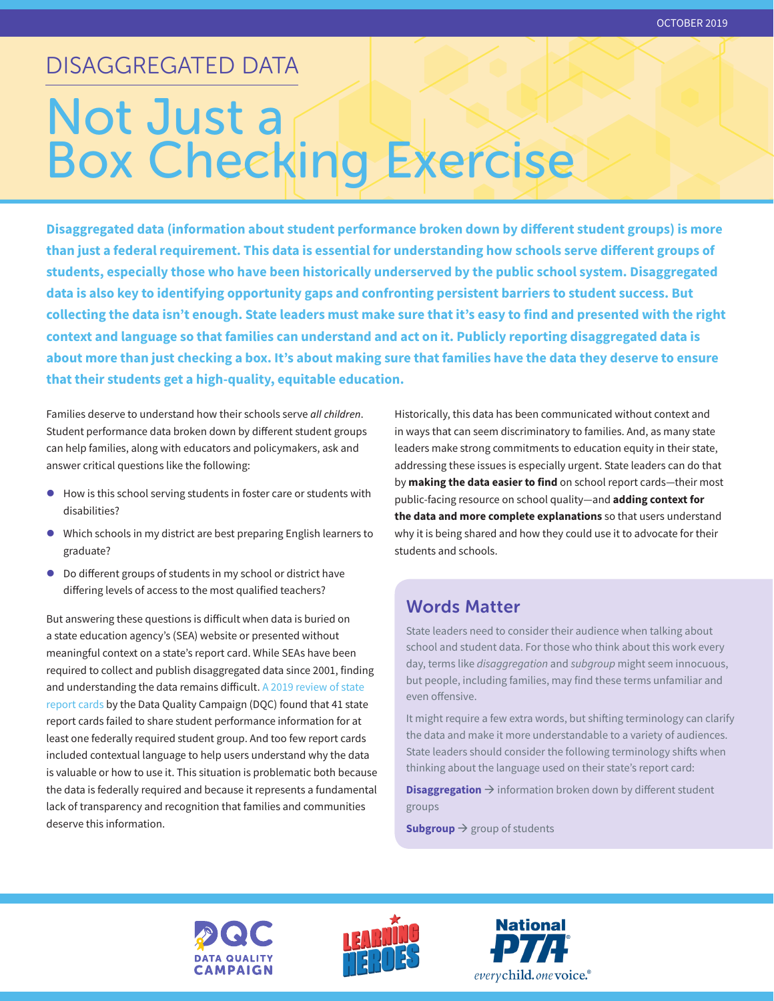# DISAGGREGATED DATA

# Not Just a Box Checking Exercise

**Disaggregated data (information about student performance broken down by different student groups) is more than just a federal requirement. This data is essential for understanding how schools serve different groups of students, especially those who have been historically underserved by the public school system. Disaggregated data is also key to identifying opportunity gaps and confronting persistent barriers to student success. But collecting the data isn't enough. State leaders must make sure that it's easy to find and presented with the right context and language so that families can understand and act on it. Publicly reporting disaggregated data is about more than just checking a box. It's about making sure that families have the data they deserve to ensure that their students get a high-quality, equitable education.** 

Families deserve to understand how their schools serve *all children*. Student performance data broken down by different student groups can help families, along with educators and policymakers, ask and answer critical questions like the following:

- How is this school serving students in foster care or students with disabilities?
- $\bullet$  Which schools in my district are best preparing English learners to graduate?
- $\bullet$  Do different groups of students in my school or district have differing levels of access to the most qualified teachers?

But answering these questions is difficult when data is buried on a state education agency's (SEA) website or presented without meaningful context on a state's report card. While SEAs have been required to collect and publish disaggregated data since 2001, finding and understanding the data remains difficult. [A 2019 review of state](http://www.dataqualitycampaign.org/showmethedata)  [report cards](http://www.dataqualitycampaign.org/showmethedata) by the Data Quality Campaign (DQC) found that 41 state report cards failed to share student performance information for at least one federally required student group. And too few report cards included contextual language to help users understand why the data is valuable or how to use it. This situation is problematic both because the data is federally required and because it represents a fundamental lack of transparency and recognition that families and communities deserve this information.

Historically, this data has been communicated without context and in ways that can seem discriminatory to families. And, as many state leaders make strong commitments to education equity in their state, addressing these issues is especially urgent. State leaders can do that by **making the data easier to find** on school report cards—their most public-facing resource on school quality—and **adding context for the data and more complete explanations** so that users understand why it is being shared and how they could use it to advocate for their students and schools.

# Words Matter

State leaders need to consider their audience when talking about school and student data. For those who think about this work every day, terms like *disaggregation* and *subgroup* might seem innocuous, but people, including families, may find these terms unfamiliar and even offensive.

It might require a few extra words, but shifting terminology can clarify the data and make it more understandable to a variety of audiences. State leaders should consider the following terminology shifts when thinking about the language used on their state's report card:

**Disaggregation**  $\rightarrow$  information broken down by different student groups

Subgroup  $\rightarrow$  group of students





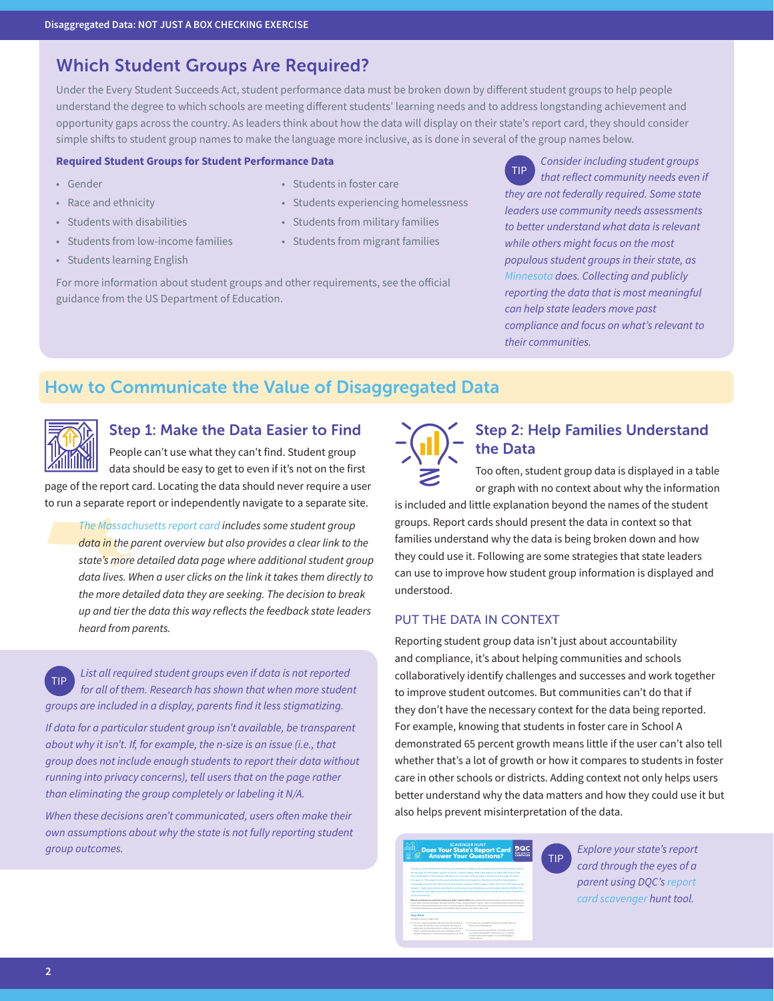## Which Student Groups Are Required?

Under the Every Student Succeeds Act, student performance data must be broken down by different student groups to help people understand the degree to which schools are meeting different students' learning needs and to address longstanding achievement and opportunity gaps across the country. As leaders think about how the data will display on their state's report card, they should consider simple shifts to student group names to make the language more inclusive, as is done in several of the group names below.

#### **Required Student Groups for Student Performance Data**

- Gender
- Race and ethnicity
- Students with disabilities
- Students from low-income families
- Students learning English
- Students in foster care
- Students experiencing homelessness
- Students from military families
- Students from migrant families

For more information about student groups and other requirements, see the official guidance from the US Department of Education.

*Consider including student groups that reflect community needs even if they are not federally required. Some state leaders use community needs assessments to better understand what data is relevant while others might focus on the most populous student groups in their state, as [Minnesota](http://caalmn.org/wp-content/uploads/2018/03/One-pager-All-Kids-Count-Act.pdf) does. Collecting and publicly reporting the data that is most meaningful can help state leaders move past compliance and focus on what's relevant to their communities.* TIP

# How to Communicate the Value of Disaggregated Data



## Step 1: Make the Data Easier to Find

People can't use what they can't find. Student group data should be easy to get to even if it's not on the first page of the report card. Locating the data should never require a user

to run a separate report or independently navigate to a separate site. *[The Massachusetts report card](http://reportcards.doe.mass.edu/) includes some student group* 

The Massach<br>data in the p<br>state's more *data in the parent overview but also provides a clear link to the state's more detailed data page where additional student group data lives. When a user clicks on the link it takes them directly to the more detailed data they are seeking. The decision to break up and tier the data this way reflects the feedback state leaders heard from parents.* 

*List all required student groups even if data is not reported for all of them. Research has shown that when more student groups are included in a display, parents find it less stigmatizing.*  TIP

*If data for a particular student group isn't available, be transparent about why it isn't. If, for example, the n-size is an issue (i.e., that group does not include enough students to report their data without running into privacy concerns), tell users that on the page rather than eliminating the group completely or labeling it N/A.* 

*When these decisions aren't communicated, users often make their own assumptions about why the state is not fully reporting student group outcomes.* 



## Step 2: Help Families Understand the Data

Too often, student group data is displayed in a table or graph with no context about why the information

is included and little explanation beyond the names of the student groups. Report cards should present the data in context so that families understand why the data is being broken down and how they could use it. Following are some strategies that state leaders can use to improve how student group information is displayed and understood.

#### PUT THE DATA IN CONTEXT

Reporting student group data isn't just about accountability and compliance, it's about helping communities and schools collaboratively identify challenges and successes and work together to improve student outcomes. But communities can't do that if they don't have the necessary context for the data being reported. For example, knowing that students in foster care in School A demonstrated 65 percent growth means little if the user can't also tell whether that's a lot of growth or how it compares to students in foster care in other schools or districts. Adding context not only helps users better understand why the data matters and how they could use it but also helps prevent misinterpretation of the data.

TIP

#### Does Your State's Report Card<br>Answer Your Questions?

Your Role whether the district or school has what is best for your child. *Explore your state's report card through the eyes of a parent using DQC's [report](https://2pido73em67o3eytaq1cp8au-wpengine.netdna-ssl.com/wp-content/uploads/2017/12/DQC-Report-Card-Scavenger-Hunt-12052017.pdf)  [card scavenger hunt](https://2pido73em67o3eytaq1cp8au-wpengine.netdna-ssl.com/wp-content/uploads/2017/12/DQC-Report-Card-Scavenger-Hunt-12052017.pdf) tool.*